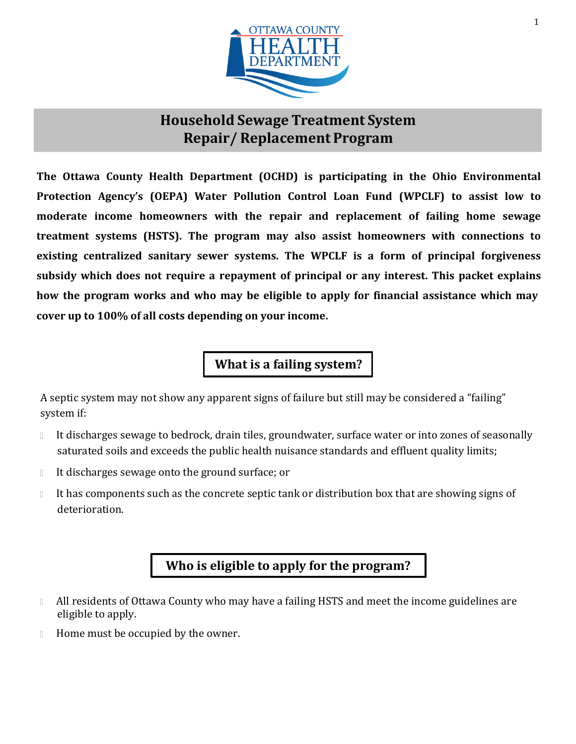

## **Household Sewage Treatment System Repair/ Replacement Program**

**The Ottawa County Health Department (OCHD) is participating in the Ohio Environmental Protection Agency's (OEPA) Water Pollution Control Loan Fund (WPCLF) to assist low to moderate income homeowners with the repair and replacement of failing home sewage treatment systems (HSTS). The program may also assist homeowners with connections to existing centralized sanitary sewer systems. The WPCLF is a form of principal forgiveness subsidy which does not require a repayment of principal or any interest. This packet explains how the program works and who may be eligible to apply for financial assistance which may cover up to 100% of all costs depending on your income.**

**What is a failing system?**

A septic system may not show any apparent signs of failure but still may be considered a "failing" system if:

- It discharges sewage to bedrock, drain tiles, groundwater, surface water or into zones of seasonally  $\begin{array}{c} \square \end{array}$ saturated soils and exceeds the public health nuisance standards and effluent quality limits;
- It discharges sewage onto the ground surface; or  $\Box$
- It has components such as the concrete septic tank or distribution box that are showing signs of  $\begin{array}{c} \end{array}$ deterioration.

### **Who is eligible to apply for the program?**

- All residents of Ottawa County who may have a failing HSTS and meet the income guidelines are  $\mathbb{R}$ eligible to apply.
- Home must be occupied by the owner. $\mathbb{R}$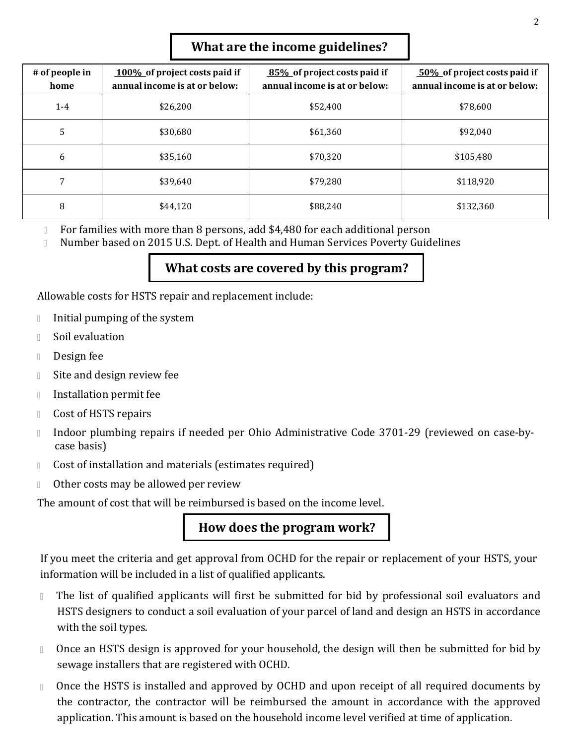#### **What are the income guidelines?**

| # of people in<br>home | 100% of project costs paid if<br>annual income is at or below: | 85% of project costs paid if<br>annual income is at or below: | 50% of project costs paid if<br>annual income is at or below: |
|------------------------|----------------------------------------------------------------|---------------------------------------------------------------|---------------------------------------------------------------|
| $1 - 4$                | \$26,200                                                       | \$52,400                                                      | \$78,600                                                      |
| 5                      | \$30,680                                                       | \$61,360                                                      | \$92,040                                                      |
| 6                      | \$35,160                                                       | \$70.320                                                      | \$105,480                                                     |
| 7                      | \$39,640                                                       | \$79,280                                                      | \$118,920                                                     |
| 8                      | \$44,120                                                       | \$88,240                                                      | \$132,360                                                     |

For families with more than 8 persons, add \$4,480 for each additional person  $\mathbb{R}$ 

Number based on 2015 U.S. Dept. of Health and Human Services Poverty Guidelines  $\begin{array}{c} \square \end{array}$ 

#### **What costs are covered by this program?**

Allowable costs for HSTS repair and replacement include:

- Initial pumping of the system  $\Box$
- Soil evaluation  $\begin{array}{c} \end{array}$
- Design fee  $\Box$
- Site and design review fee  $\Box$
- $\Box$ Installation permit fee
- Cost of HSTS repairs  $\Box$
- Indoor plumbing repairs if needed per Ohio Administrative Code 3701-29 (reviewed on case-by- $\Box$ case basis)
- Cost of installation and materials (estimates required)  $\Box$
- Other costs may be allowed per review  $\begin{array}{c} \end{array}$

The amount of cost that will be reimbursed is based on the income level.

**How does the program work?**

If you meet the criteria and get approval from OCHD for the repair or replacement of your HSTS, your information will be included in a list of qualified applicants.

- The list of qualified applicants will first be submitted for bid by professional soil evaluators and  $\begin{array}{c} \square \end{array}$ HSTS designers to conduct a soil evaluation of your parcel of land and design an HSTS in accordance with the soil types.
- Once an HSTS design is approved for your household, the design will then be submitted for bid by  $\mathbb{R}$ sewage installers that are registered with OCHD.
- Once the HSTS is installed and approved by OCHD and upon receipt of all required documents by  $\hfill\Box$ the contractor, the contractor will be reimbursed the amount in accordance with the approved application. This amount is based on the household income level verified at time of application.